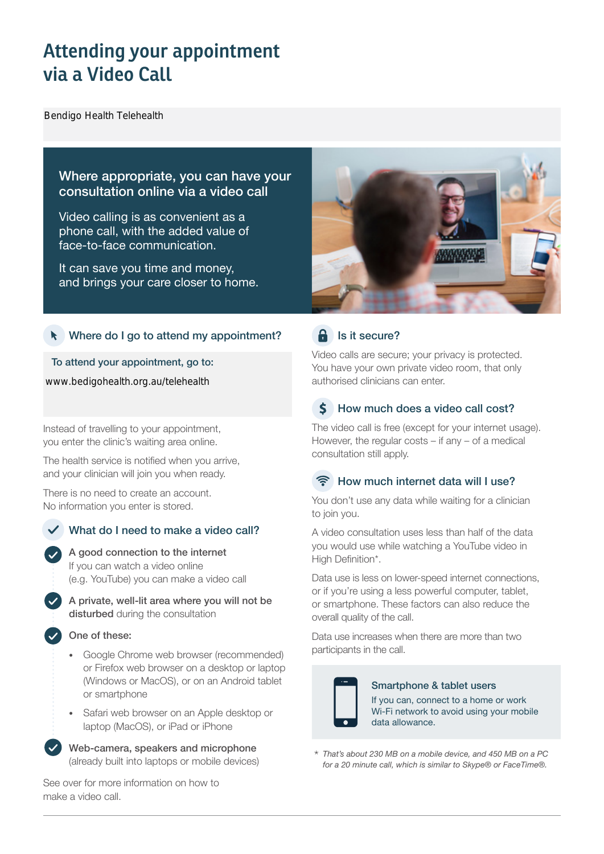# **Attending your appointment via a Video Call**

Bendigo Health Telehealth

# Where appropriate, you can have your consultation online via a video call

Video calling is as convenient as a phone call, with the added value of face-to-face communication.

It can save you time and money, and brings your care closer to home.

## Where do I go to attend my appointment?

To attend your appointment, go to:

www.bedigohealth.org.au/telehealth

Instead of travelling to your appointment, you enter the clinic's waiting area online.

The health service is notified when you arrive, and your clinician will join you when ready.

There is no need to create an account. No information you enter is stored.

# What do I need to make a video call?



A private, well-lit area where you will not be disturbed during the consultation

### One of these:

- Google Chrome web browser (recommended) or Firefox web browser on a desktop or laptop (Windows or MacOS), or on an Android tablet or smartphone
- Safari web browser on an Apple desktop or laptop (MacOS), or iPad or iPhone

Web-camera, speakers and microphone (already built into laptops or mobile devices)

See over for more information on how to make a video call.



# $\theta$  Is it secure?

Video calls are secure; your privacy is protected. You have your own private video room, that only authorised clinicians can enter.

#### $\mathsf{S}$ How much does a video call cost?

The video call is free (except for your internet usage). However, the regular costs – if any – of a medical consultation still apply.

# How much internet data will I use?

You don't use any data while waiting for a clinician to join you.

A video consultation uses less than half of the data you would use while watching a YouTube video in High Definition\*.

Data use is less on lower-speed internet connections, or if you're using a less powerful computer, tablet, or smartphone. These factors can also reduce the overall quality of the call.

Data use increases when there are more than two participants in the call.



### Smartphone & tablet users

If you can, connect to a home or work Wi-Fi network to avoid using your mobile data allowance.

*That's about 230 MB on a mobile device, and 450 MB on a PC for a 20 minute call, which is similar to Skype® or FaceTime®.* \*